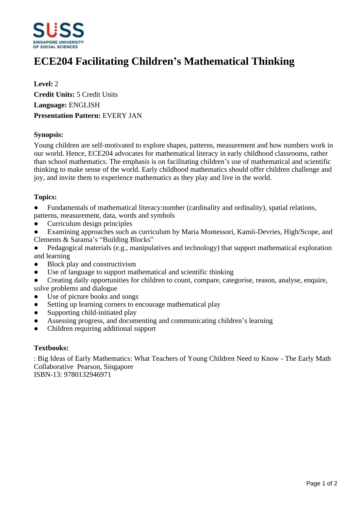

# **ECE204 Facilitating Children¶s Mathematical Thinking**

**Level:** 2 **Credit Units:** 5 Credit Units **Language:** ENGLISH **Presentation Pattern:** EVERY JAN

## **Synopsis:**

Young children are self-motivated to explore shapes, patterns, measurement and how numbers work in our world. Hence, ECE204 advocates for mathematical literacy in early childhood classrooms, rather than school mathematics. The emphasis is on facilitating children's use of mathematical and scientific thinking to make sense of the world. Early childhood mathematics should offer children challenge and joy, and invite them to experience mathematics as they play and live in the world.

## **Topics:**

• Fundamentals of mathematical literacy:number (cardinality and ordinality), spatial relations, patterns, measurement, data, words and symbols

ƔCurriculum design principles

Examining approaches such as curriculum by Maria Montessori, Kamii-Devries, High/Scope, and Clements & Sarama's "Building Blocks"

- Pedagogical materials (e.g., manipulatives and technology) that support mathematical exploration and learning
- Block play and constructivism
- ƔUse of language to support mathematical and scientific thinking
- Creating daily opportunities for children to count, compare, categorise, reason, analyse, enquire, solve problems and dialogue
- Use of picture books and songs
- Setting up learning corners to encourage mathematical play
- Supporting child-initiated play
- Assessing progress, and documenting and communicating children's learning
- ƔChildren requiring additional support

#### **Textbooks:**

: Big Ideas of Early Mathematics: What Teachers of Young Children Need to Know - The Early Math Collaborative Pearson, Singapore ISBN-13: 9780132946971